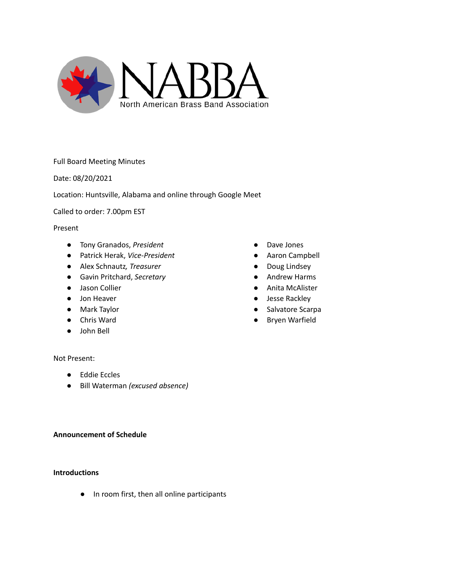

Full Board Meeting Minutes

Date: 08/20/2021

Location: Huntsville, Alabama and online through Google Meet

Called to order: 7.00pm EST

## Present

- Tony Granados, *President*
- Patrick Herak, *Vice-President*
- Alex Schnautz*, Treasurer*
- Gavin Pritchard, *Secretary*
- Jason Collier
- Jon Heaver
- Mark Taylor
- Chris Ward
- John Bell

### Not Present:

- Eddie Eccles
- Bill Waterman *(excused absence)*

### **Announcement of Schedule**

# **Introductions**

● In room first, then all online participants

- Dave Jones
- Aaron Campbell
- Doug Lindsey
- Andrew Harms
- Anita McAlister
- Jesse Rackley
- Salvatore Scarpa
- Bryen Warfield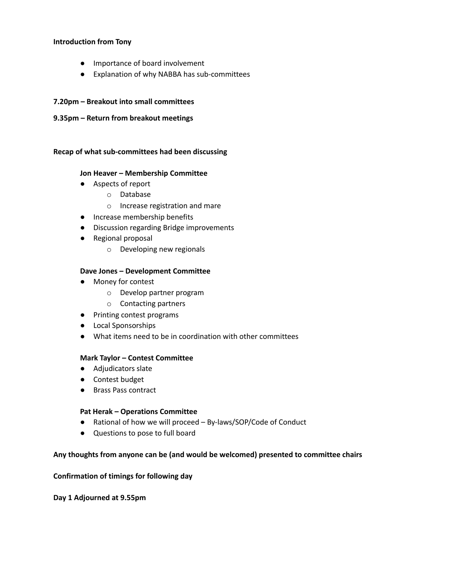### **Introduction from Tony**

- Importance of board involvement
- Explanation of why NABBA has sub-committees

# **7.20pm – Breakout into small committees**

**9.35pm – Return from breakout meetings**

# **Recap of what sub-committees had been discussing**

# **Jon Heaver – Membership Committee**

- Aspects of report
	- o Database
	- o Increase registration and mare
- Increase membership benefits
- Discussion regarding Bridge improvements
- Regional proposal
	- o Developing new regionals

# **Dave Jones – Development Committee**

- Money for contest
	- o Develop partner program
	- o Contacting partners
- Printing contest programs
- Local Sponsorships
- What items need to be in coordination with other committees

# **Mark Taylor – Contest Committee**

- Adjudicators slate
- Contest budget
- Brass Pass contract

# **Pat Herak – Operations Committee**

- Rational of how we will proceed By-laws/SOP/Code of Conduct
- Questions to pose to full board

# **Any thoughts from anyone can be (and would be welcomed) presented to committee chairs**

# **Confirmation of timings for following day**

**Day 1 Adjourned at 9.55pm**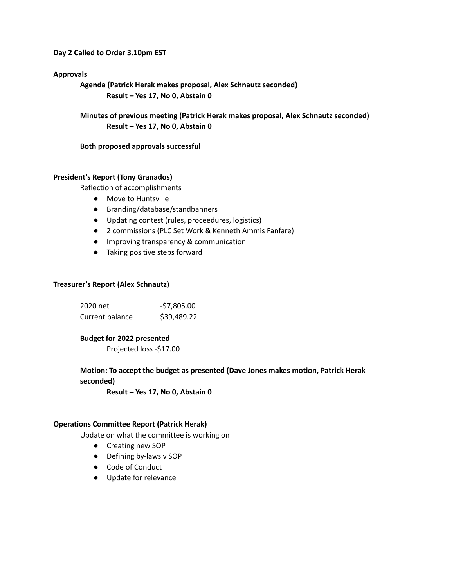### **Day 2 Called to Order 3.10pm EST**

## **Approvals**

**Agenda (Patrick Herak makes proposal, Alex Schnautz seconded) Result – Yes 17, No 0, Abstain 0**

**Minutes of previous meeting (Patrick Herak makes proposal, Alex Schnautz seconded) Result – Yes 17, No 0, Abstain 0**

**Both proposed approvals successful**

### **President's Report (Tony Granados)**

Reflection of accomplishments

- Move to Huntsville
- Branding/database/standbanners
- Updating contest (rules, proceedures, logistics)
- 2 commissions (PLC Set Work & Kenneth Ammis Fanfare)
- Improving transparency & communication
- Taking positive steps forward

### **Treasurer's Report (Alex Schnautz)**

| 2020 net        | $-57,805.00$ |
|-----------------|--------------|
| Current balance | \$39,489.22  |

# **Budget for 2022 presented**

Projected loss -\$17.00

# **Motion: To accept the budget as presented (Dave Jones makes motion, Patrick Herak seconded)**

**Result – Yes 17, No 0, Abstain 0**

### **Operations Committee Report (Patrick Herak)**

Update on what the committee is working on

- **●** Creating new SOP
- **●** Defining by-laws v SOP
- **●** Code of Conduct
- **●** Update for relevance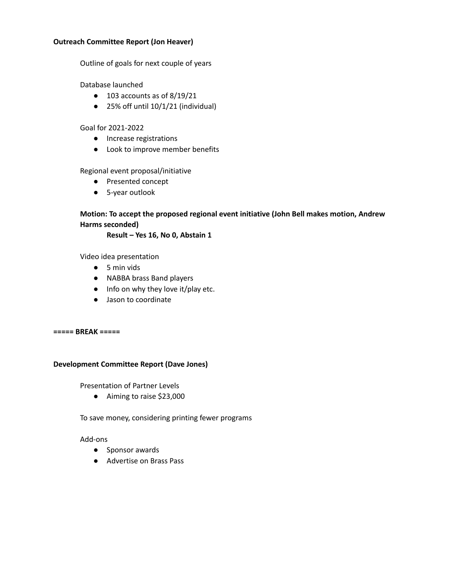## **Outreach Committee Report (Jon Heaver)**

Outline of goals for next couple of years

Database launched

- 103 accounts as of 8/19/21
- 25% off until 10/1/21 (individual)

# Goal for 2021-2022

- Increase registrations
- Look to improve member benefits

# Regional event proposal/initiative

- Presented concept
- 5-year outlook

# **Motion: To accept the proposed regional event initiative (John Bell makes motion, Andrew Harms seconded)**

**Result – Yes 16, No 0, Abstain 1**

Video idea presentation

- 5 min vids
- NABBA brass Band players
- Info on why they love it/play etc.
- Jason to coordinate

**===== BREAK =====**

# **Development Committee Report (Dave Jones)**

Presentation of Partner Levels

● Aiming to raise \$23,000

To save money, considering printing fewer programs

# Add-ons

- Sponsor awards
- Advertise on Brass Pass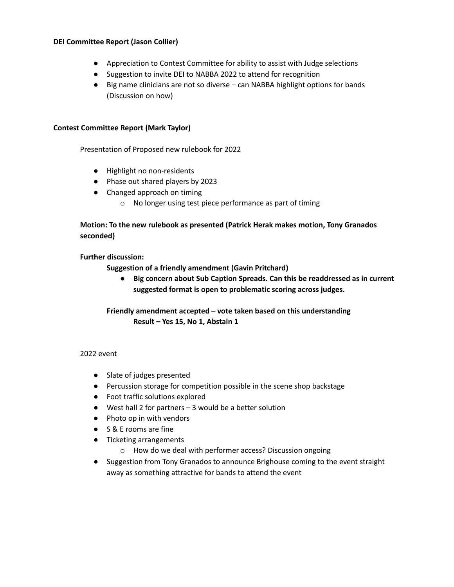## **DEI Committee Report (Jason Collier)**

- Appreciation to Contest Committee for ability to assist with Judge selections
- Suggestion to invite DEI to NABBA 2022 to attend for recognition
- Big name clinicians are not so diverse can NABBA highlight options for bands (Discussion on how)

## **Contest Committee Report (Mark Taylor)**

Presentation of Proposed new rulebook for 2022

- Highlight no non-residents
- Phase out shared players by 2023
- Changed approach on timing
	- o No longer using test piece performance as part of timing

# **Motion: To the new rulebook as presented (Patrick Herak makes motion, Tony Granados seconded)**

# **Further discussion:**

**Suggestion of a friendly amendment (Gavin Pritchard)**

**● Big concern about Sub Caption Spreads. Can this be readdressed as in current suggested format is open to problematic scoring across judges.**

# **Friendly amendment accepted – vote taken based on this understanding Result – Yes 15, No 1, Abstain 1**

### 2022 event

- Slate of judges presented
- Percussion storage for competition possible in the scene shop backstage
- Foot traffic solutions explored
- West hall 2 for partners 3 would be a better solution
- Photo op in with vendors
- S & E rooms are fine
- Ticketing arrangements
	- o How do we deal with performer access? Discussion ongoing
- Suggestion from Tony Granados to announce Brighouse coming to the event straight away as something attractive for bands to attend the event